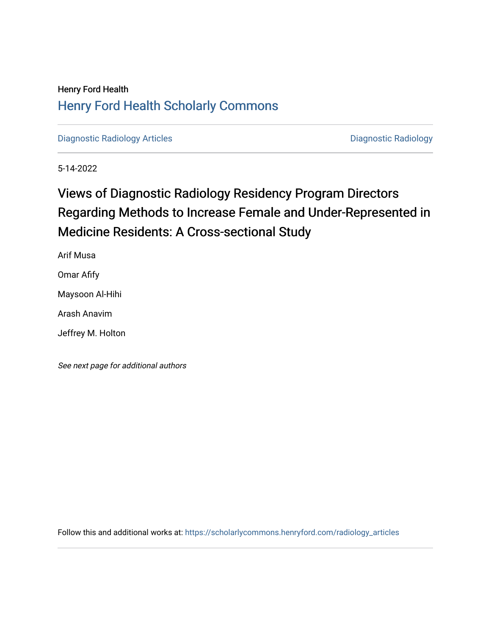## Henry Ford Health [Henry Ford Health Scholarly Commons](https://scholarlycommons.henryford.com/)

[Diagnostic Radiology Articles](https://scholarlycommons.henryford.com/radiology_articles) **Diagnostic Radiology** 

5-14-2022

## Views of Diagnostic Radiology Residency Program Directors Regarding Methods to Increase Female and Under-Represented in Medicine Residents: A Cross-sectional Study

Arif Musa

Omar Afify

Maysoon Al-Hihi

Arash Anavim

Jeffrey M. Holton

See next page for additional authors

Follow this and additional works at: [https://scholarlycommons.henryford.com/radiology\\_articles](https://scholarlycommons.henryford.com/radiology_articles?utm_source=scholarlycommons.henryford.com%2Fradiology_articles%2F271&utm_medium=PDF&utm_campaign=PDFCoverPages)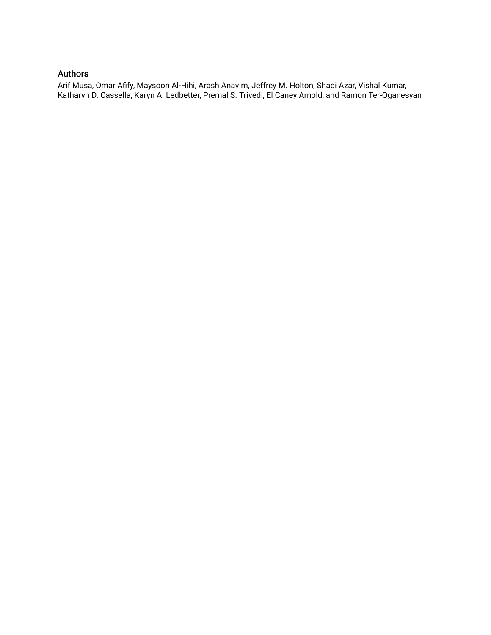### Authors

Arif Musa, Omar Afify, Maysoon Al-Hihi, Arash Anavim, Jeffrey M. Holton, Shadi Azar, Vishal Kumar, Katharyn D. Cassella, Karyn A. Ledbetter, Premal S. Trivedi, El Caney Arnold, and Ramon Ter-Oganesyan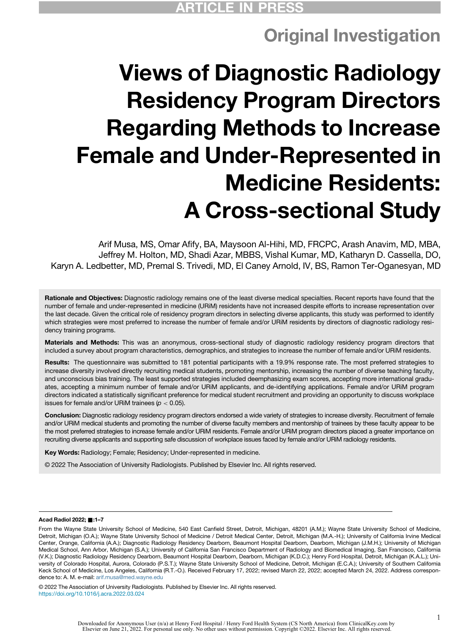## Original Investigation

# Views of Diagnostic Radiology Residency Program Directors Regarding Methods to Increase Female and Under-Represented in Medicine Residents: A Cross-sectional Study

Arif Musa, MS, Omar Afify, BA, Maysoon Al-Hihi, MD, FRCPC, Arash Anavim, MD, MBA, Jeffrey M. Holton, MD, Shadi Azar, MBBS, Vishal Kumar, MD, Katharyn D. Cassella, DO, Karyn A. Ledbetter, MD, Premal S. Trivedi, MD, El Caney Arnold, IV, BS, Ramon Ter-Oganesyan, MD

Rationale and Objectives: Diagnostic radiology remains one of the least diverse medical specialties. Recent reports have found that the number of female and under-represented in medicine (URiM) residents have not increased despite efforts to increase representation over the last decade. Given the critical role of residency program directors in selecting diverse applicants, this study was performed to identify which strategies were most preferred to increase the number of female and/or URiM residents by directors of diagnostic radiology residency training programs.

Materials and Methods: This was an anonymous, cross-sectional study of diagnostic radiology residency program directors that included a survey about program characteristics, demographics, and strategies to increase the number of female and/or URiM residents.

Results: The questionnaire was submitted to 181 potential participants with a 19.9% response rate. The most preferred strategies to increase diversity involved directly recruiting medical students, promoting mentorship, increasing the number of diverse teaching faculty, and unconscious bias training. The least supported strategies included deemphasizing exam scores, accepting more international graduates, accepting a minimum number of female and/or URiM applicants, and de-identifying applications. Female and/or URiM program directors indicated a statistically significant preference for medical student recruitment and providing an opportunity to discuss workplace issues for female and/or URiM trainees ( $p < 0.05$ ).

Conclusion: Diagnostic radiology residency program directors endorsed a wide variety of strategies to increase diversity. Recruitment of female and/or URiM medical students and promoting the number of diverse faculty members and mentorship of trainees by these faculty appear to be the most preferred strategies to increase female and/or URiM residents. Female and/or URiM program directors placed a greater importance on recruiting diverse applicants and supporting safe discussion of workplace issues faced by female and/or URiM radiology residents.

Key Words: Radiology; Female; Residency; Under-represented in medicine.

© 2022 The Association of University Radiologists. Published by Elsevier Inc. All rights reserved.

#### Acad Radiol 2022; ■:1-7

From the Wayne State University School of Medicine, 540 East Canfield Street, Detroit, Michigan, 48201 (A.M.); Wayne State University School of Medicine, Detroit, Michigan (O.A.); Wayne State University School of Medicine / Detroit Medical Center, Detroit, Michigan (M.A.-H.); University of California Irvine Medical Center, Orange, California (A.A.); Diagnostic Radiology Residency Dearborn, Beaumont Hospital Dearborn, Dearborn, Michigan (J.M.H.); University of Michigan Medical School, Ann Arbor, Michigan (S.A.); University of California San Francisco Department of Radiology and Biomedical Imaging, San Francisco, California (V.K.); Diagnostic Radiology Residency Dearborn, Beaumont Hospital Dearborn, Dearborn, Michigan (K.D.C.); Henry Ford Hospital, Detroit, Michigan (K.A.L.); University of Colorado Hospital, Aurora, Colorado (P.S.T.); Wayne State University School of Medicine, Detroit, Michigan (E.C.A.); University of Southern California Keck School of Medicine, Los Angeles, California (R.T.-O.). Received February 17, 2022; revised March 22, 2022; accepted March 24, 2022. Address correspondence to: A. M. e-mail: [arif.musa@med.wayne.edu](mailto:arif.musa@med.wayne.edu)

© 2022 The Association of University Radiologists. Published by Elsevier Inc. All rights reserved. <https://doi.org/10.1016/j.acra.2022.03.024>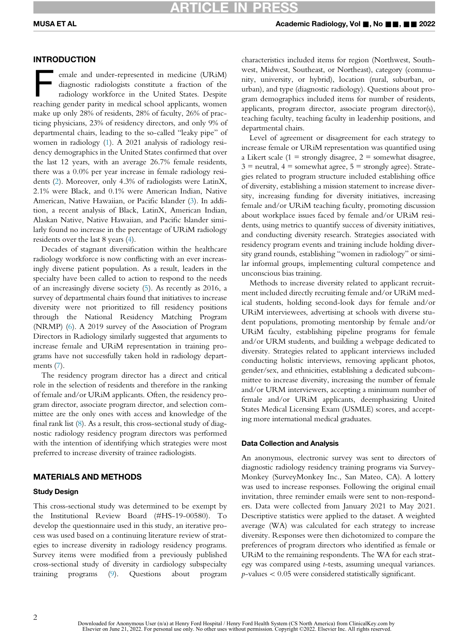#### INTRODUCTION

emale and under-represented in medicine (URiM) diagnostic radiologists constitute a fraction of the radiology workforce in the United States. Despite reaching gender parity in medical school applicants, women make up only 28% of residents, 28% of faculty, 26% of practicing physicians, 23% of residency directors, and only 9% of departmental chairs, leading to the so-called "leaky pipe" of women in radiology [\(1](#page-7-0)). A 2021 analysis of radiology residency demographics in the United States confirmed that over the last 12 years, with an average 26.7% female residents, there was a 0.0% per year increase in female radiology residents ([2\)](#page-7-1). Moreover, only 4.3% of radiologists were LatinX, 2.1% were Black, and 0.1% were American Indian, Native American, Native Hawaiian, or Pacific Islander ([3\)](#page-7-2). In addition, a recent analysis of Black, LatinX, American Indian, Alaskan Native, Native Hawaiian, and Pacific Islander similarly found no increase in the percentage of URiM radiology residents over the last 8 years ([4\)](#page-7-3).

Decades of stagnant diversification within the healthcare radiology workforce is now conflicting with an ever increasingly diverse patient population. As a result, leaders in the specialty have been called to action to respond to the needs of an increasingly diverse society [\(5](#page-7-4)). As recently as 2016, a survey of departmental chairs found that initiatives to increase diversity were not prioritized to fill residency positions through the National Residency Matching Program (NRMP) [\(6](#page-7-5)). A 2019 survey of the Association of Program Directors in Radiology similarly suggested that arguments to increase female and URiM representation in training programs have not successfully taken hold in radiology departments ([7\)](#page-7-6).

The residency program director has a direct and critical role in the selection of residents and therefore in the ranking of female and/or URiM applicants. Often, the residency program director, associate program director, and selection committee are the only ones with access and knowledge of the final rank list [\(8\)](#page-7-7). As a result, this cross-sectional study of diagnostic radiology residency program directors was performed with the intention of identifying which strategies were most preferred to increase diversity of trainee radiologists.

#### MATERIALS AND METHODS

#### Study Design

This cross-sectional study was determined to be exempt by the Institutional Review Board (#HS-19-00580). To develop the questionnaire used in this study, an iterative process was used based on a continuing literature review of strategies to increase diversity in radiology residency programs. Survey items were modified from a previously published cross-sectional study of diversity in cardiology subspecialty training programs [\(9](#page-7-8)). Questions about program characteristics included items for region (Northwest, Southwest, Midwest, Southeast, or Northeast), category (community, university, or hybrid), location (rural, suburban, or urban), and type (diagnostic radiology). Questions about program demographics included items for number of residents, applicants, program director, associate program director(s), teaching faculty, teaching faculty in leadership positions, and departmental chairs.

Level of agreement or disagreement for each strategy to increase female or URiM representation was quantified using a Likert scale  $(1 =$  strongly disagree,  $2 =$  somewhat disagree,  $3$  = neutral,  $4$  = somewhat agree,  $5$  = strongly agree). Strategies related to program structure included establishing office of diversity, establishing a mission statement to increase diversity, increasing funding for diversity initiatives, increasing female and/or URiM teaching faculty, promoting discussion about workplace issues faced by female and/or URiM residents, using metrics to quantify success of diversity initiatives, and conducting diversity research. Strategies associated with residency program events and training include holding diversity grand rounds, establishing "women in radiology" or similar informal groups, implementing cultural competence and unconscious bias training.

Methods to increase diversity related to applicant recruitment included directly recruiting female and/or URiM medical students, holding second-look days for female and/or URiM interviewees, advertising at schools with diverse student populations, promoting mentorship by female and/or URiM faculty, establishing pipeline programs for female and/or URM students, and building a webpage dedicated to diversity. Strategies related to applicant interviews included conducting holistic interviews, removing applicant photos, gender/sex, and ethnicities, establishing a dedicated subcommittee to increase diversity, increasing the number of female and/or URM interviewers, accepting a minimum number of female and/or URiM applicants, deemphasizing United States Medical Licensing Exam (USMLE) scores, and accepting more international medical graduates.

#### Data Collection and Analysis

An anonymous, electronic survey was sent to directors of diagnostic radiology residency training programs via Survey-Monkey (SurveyMonkey Inc., San Mateo, CA). A lottery was used to increase responses. Following the original email invitation, three reminder emails were sent to non-responders. Data were collected from January 2021 to May 2021. Descriptive statistics were applied to the dataset. A weighted average (WA) was calculated for each strategy to increase diversity. Responses were then dichotomized to compare the preferences of program directors who identified as female or URiM to the remaining respondents. The WA for each strategy was compared using t-tests, assuming unequal variances.  $p$ -values  $< 0.05$  were considered statistically significant.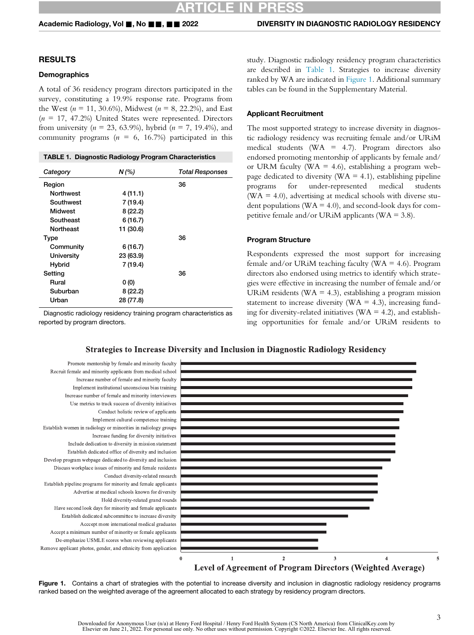#### RESULTS

#### **Demographics**

A total of 36 residency program directors participated in the survey, constituting a 19.9% response rate. Programs from the West ( $n = 11, 30.6\%$ ), Midwest ( $n = 8, 22.2\%$ ), and East  $(n = 17, 47.2%)$  United States were represented. Directors from university ( $n = 23, 63.9\%$ ), hybrid ( $n = 7, 19.4\%$ ), and community programs ( $n = 6$ , 16.7%) participated in this

|  | <b>TABLE 1. Diagnostic Radiology Program Characteristics</b> |  |
|--|--------------------------------------------------------------|--|
|--|--------------------------------------------------------------|--|

<span id="page-4-0"></span>

| Category         | $N$ (%)   | <b>Total Responses</b> |
|------------------|-----------|------------------------|
| Region           |           | 36                     |
| <b>Northwest</b> | 4 (11.1)  |                        |
| Southwest        | 7 (19.4)  |                        |
| Midwest          | 8(22.2)   |                        |
| Southeast        | 6(16.7)   |                        |
| <b>Northeast</b> | 11 (30.6) |                        |
| Type             |           | 36                     |
| Community        | 6(16.7)   |                        |
| University       | 23 (63.9) |                        |
| <b>Hybrid</b>    | 7 (19.4)  |                        |
| Setting          |           | 36                     |
| Rural            | 0(0)      |                        |
| Suburban         | 8(22.2)   |                        |
| Urban            | 28 (77.8) |                        |
|                  |           |                        |

<span id="page-4-1"></span>Diagnostic radiology residency training program characteristics as reported by program directors.

study. Diagnostic radiology residency program characteristics are described in [Table 1.](#page-4-0) Strategies to increase diversity ranked by WA are indicated in [Figure 1.](#page-4-1) Additional summary tables can be found in the Supplementary Material.

#### Applicant Recruitment

The most supported strategy to increase diversity in diagnostic radiology residency was recruiting female and/or URiM medical students (WA = 4.7). Program directors also endorsed promoting mentorship of applicants by female and/ or URM faculty (WA = 4.6), establishing a program webpage dedicated to diversity ( $WA = 4.1$ ), establishing pipeline programs for under-represented medical students  $(WA = 4.0)$ , advertising at medical schools with diverse student populations ( $WA = 4.0$ ), and second-look days for competitive female and/or URiM applicants ( $WA = 3.8$ ).

#### Program Structure

Respondents expressed the most support for increasing female and/or URiM teaching faculty ( $WA = 4.6$ ). Program directors also endorsed using metrics to identify which strategies were effective in increasing the number of female and/or URiM residents (WA = 4.3), establishing a program mission statement to increase diversity ( $WA = 4.3$ ), increasing funding for diversity-related initiatives ( $WA = 4.2$ ), and establishing opportunities for female and/or URiM residents to

#### **Strategies to Increase Diversity and Inclusion in Diagnostic Radiology Residency**



Figure 1. Contains a chart of strategies with the potential to increase diversity and inclusion in diagnostic radiology residency programs ranked based on the weighted average of the agreement allocated to each strategy by residency program directors.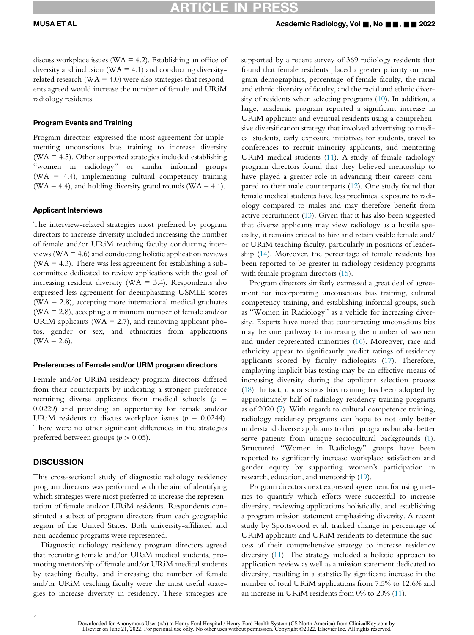discuss workplace issues ( $WA = 4.2$ ). Establishing an office of diversity and inclusion ( $WA = 4.1$ ) and conducting diversityrelated research ( $WA = 4.0$ ) were also strategies that respondents agreed would increase the number of female and URiM radiology residents.

#### Program Events and Training

Program directors expressed the most agreement for implementing unconscious bias training to increase diversity ( $WA = 4.5$ ). Other supported strategies included establishing "women in radiology" or similar informal groups ( $WA = 4.4$ ), implementing cultural competency training (WA = 4.4), and holding diversity grand rounds (WA = 4.1).

#### Applicant Interviews

The interview-related strategies most preferred by program directors to increase diversity included increasing the number of female and/or URiM teaching faculty conducting interviews ( $WA = 4.6$ ) and conducting holistic application reviews ( $WA = 4.3$ ). There was less agreement for establishing a subcommittee dedicated to review applications with the goal of increasing resident diversity ( $WA = 3.4$ ). Respondents also expressed less agreement for deemphasizing USMLE scores  $(WA = 2.8)$ , accepting more international medical graduates (WA = 2.8), accepting a minimum number of female and/or URiM applicants ( $WA = 2.7$ ), and removing applicant photos, gender or sex, and ethnicities from applications  $(WA = 2.6)$ .

#### Preferences of Female and/or URM program directors

Female and/or URiM residency program directors differed from their counterparts by indicating a stronger preference recruiting diverse applicants from medical schools  $(p =$ 0.0229) and providing an opportunity for female and/or URiM residents to discuss workplace issues ( $p = 0.0244$ ). There were no other significant differences in the strategies preferred between groups ( $p > 0.05$ ).

#### **DISCUSSION**

This cross-sectional study of diagnostic radiology residency program directors was performed with the aim of identifying which strategies were most preferred to increase the representation of female and/or URiM residents. Respondents constituted a subset of program directors from each geographic region of the United States. Both university-affiliated and non-academic programs were represented.

Diagnostic radiology residency program directors agreed that recruiting female and/or URiM medical students, promoting mentorship of female and/or URiM medical students by teaching faculty, and increasing the number of female and/or URiM teaching faculty were the most useful strategies to increase diversity in residency. These strategies are supported by a recent survey of 369 radiology residents that found that female residents placed a greater priority on program demographics, percentage of female faculty, the racial and ethnic diversity of faculty, and the racial and ethnic diversity of residents when selecting programs ([10](#page-7-9)). In addition, a large, academic program reported a significant increase in URiM applicants and eventual residents using a comprehensive diversification strategy that involved advertising to medical students, early exposure initiatives for students, travel to conferences to recruit minority applicants, and mentoring URiM medical students ([11\)](#page-8-0). A study of female radiology program directors found that they believed mentorship to have played a greater role in advancing their careers compared to their male counterparts [\(12\)](#page-8-1). One study found that female medical students have less preclinical exposure to radiology compared to males and may therefore benefit from active recruitment [\(13\)](#page-8-2). Given that it has also been suggested that diverse applicants may view radiology as a hostile specialty, it remains critical to hire and retain visible female and/ or URiM teaching faculty, particularly in positions of leadership [\(14](#page-8-3)). Moreover, the percentage of female residents has been reported to be greater in radiology residency programs with female program directors  $(15)$  $(15)$  $(15)$ .

Program directors similarly expressed a great deal of agreement for incorporating unconscious bias training, cultural competency training, and establishing informal groups, such as "Women in Radiology" as a vehicle for increasing diversity. Experts have noted that counteracting unconscious bias may be one pathway to increasing the number of women and under-represented minorities [\(16\)](#page-8-5). Moreover, race and ethnicity appear to significantly predict ratings of residency applicants scored by faculty radiologists [\(17\)](#page-8-6). Therefore, employing implicit bias testing may be an effective means of increasing diversity during the applicant selection process [\(18\)](#page-8-7). In fact, unconscious bias training has been adopted by approximately half of radiology residency training programs as of 2020 [\(7\)](#page-7-6). With regards to cultural competence training, radiology residency programs can hope to not only better understand diverse applicants to their programs but also better serve patients from unique sociocultural backgrounds ([1\)](#page-7-0). Structured "Women in Radiology" groups have been reported to significantly increase workplace satisfaction and gender equity by supporting women's participation in research, education, and mentorship ([19\)](#page-8-8).

Program directors next expressed agreement for using metrics to quantify which efforts were successful to increase diversity, reviewing applications holistically, and establishing a program mission statement emphasizing diversity. A recent study by Spottswood et al. tracked change in percentage of URiM applicants and URiM residents to determine the success of their comprehensive strategy to increase residency diversity ([11\)](#page-8-0). The strategy included a holistic approach to application review as well as a mission statement dedicated to diversity, resulting in a statistically significant increase in the number of total URiM applications from 7.5% to 12.6% and an increase in URiM residents from 0% to 20% ([11\)](#page-8-0).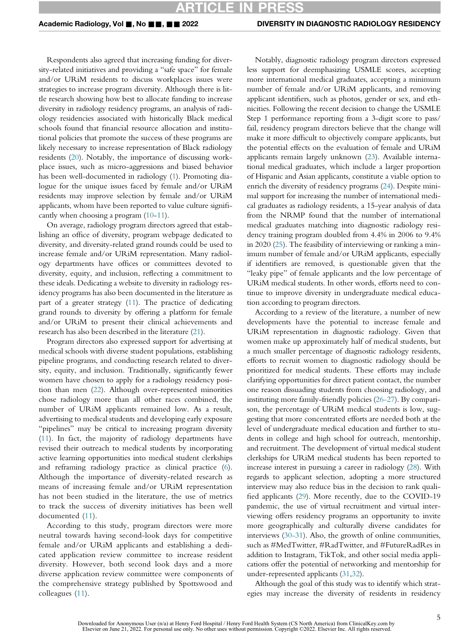## RTICLE IN PRES

Respondents also agreed that increasing funding for diversity-related initiatives and providing a "safe space" for female and/or URiM residents to discuss workplaces issues were strategies to increase program diversity. Although there is little research showing how best to allocate funding to increase diversity in radiology residency programs, an analysis of radiology residencies associated with historically Black medical schools found that financial resource allocation and institutional policies that promote the success of these programs are likely necessary to increase representation of Black radiology residents ([20\)](#page-8-9). Notably, the importance of discussing workplace issues, such as micro-aggressions and biased behavior has been well-documented in radiology [\(1](#page-7-0)). Promoting dialogue for the unique issues faced by female and/or URiM residents may improve selection by female and/or URiM applicants, whom have been reported to value culture significantly when choosing a program [\(10-](#page-7-9)[11\)](#page-8-0).

On average, radiology program directors agreed that establishing an office of diversity, program webpage dedicated to diversity, and diversity-related grand rounds could be used to increase female and/or URiM representation. Many radiology departments have offices or committees devoted to diversity, equity, and inclusion, reflecting a commitment to these ideals. Dedicating a website to diversity in radiology residency programs has also been documented in the literature as part of a greater strategy [\(11\)](#page-8-0). The practice of dedicating grand rounds to diversity by offering a platform for female and/or URiM to present their clinical achievements and research has also been described in the literature [\(21\)](#page-8-10).

Program directors also expressed support for advertising at medical schools with diverse student populations, establishing pipeline programs, and conducting research related to diversity, equity, and inclusion. Traditionally, significantly fewer women have chosen to apply for a radiology residency position than men [\(22\)](#page-8-11). Although over-represented minorities chose radiology more than all other races combined, the number of URiM applicants remained low. As a result, advertising to medical students and developing early exposure "pipelines" may be critical to increasing program diversity ([11](#page-8-0)). In fact, the majority of radiology departments have revised their outreach to medical students by incorporating active learning opportunities into medical student clerkships and reframing radiology practice as clinical practice ([6\)](#page-7-5). Although the importance of diversity-related research as means of increasing female and/or URiM representation has not been studied in the literature, the use of metrics to track the success of diversity initiatives has been well documented [\(11](#page-8-0)).

According to this study, program directors were more neutral towards having second-look days for competitive female and/or URiM applicants and establishing a dedicated application review committee to increase resident diversity. However, both second look days and a more diverse application review committee were components of the comprehensive strategy published by Spottswood and colleagues ([11\)](#page-8-0).

Notably, diagnostic radiology program directors expressed less support for deemphasizing USMLE scores, accepting more international medical graduates, accepting a minimum number of female and/or URiM applicants, and removing applicant identifiers, such as photos, gender or sex, and ethnicities. Following the recent decision to change the USMLE Step 1 performance reporting from a 3-digit score to pass/ fail, residency program directors believe that the change will make it more difficult to objectively compare applicants, but the potential effects on the evaluation of female and URiM applicants remain largely unknown [\(23](#page-8-12)). Available international medical graduates, which include a larger proportion of Hispanic and Asian applicants, constitute a viable option to enrich the diversity of residency programs [\(24](#page-8-13)). Despite minimal support for increasing the number of international medical graduates as radiology residents, a 15-year analysis of data from the NRMP found that the number of international medical graduates matching into diagnostic radiology residency training program doubled from 4.4% in 2006 to 9.4% in 2020 [\(25](#page-8-14)). The feasibility of interviewing or ranking a minimum number of female and/or URiM applicants, especially if identifiers are removed, is questionable given that the "leaky pipe" of female applicants and the low percentage of URiM medical students. In other words, efforts need to continue to improve diversity in undergraduate medical education according to program directors.

According to a review of the literature, a number of new developments have the potential to increase female and URiM representation in diagnostic radiology. Given that women make up approximately half of medical students, but a much smaller percentage of diagnostic radiology residents, efforts to recruit women to diagnostic radiology should be prioritized for medical students. These efforts may include clarifying opportunities for direct patient contact, the number one reason dissuading students from choosing radiology, and instituting more family-friendly policies ([26-27](#page-8-15)). By comparison, the percentage of URiM medical students is low, suggesting that more concentrated efforts are needed both at the level of undergraduate medical education and further to students in college and high school for outreach, mentorship, and recruitment. The development of virtual medical student clerkships for URiM medical students has been reported to increase interest in pursuing a career in radiology [\(28\)](#page-8-16). With regards to applicant selection, adopting a more structured interview may also reduce bias in the decision to rank qualified applicants [\(29\)](#page-8-17). More recently, due to the COVID-19 pandemic, the use of virtual recruitment and virtual interviewing offers residency programs an opportunity to invite more geographically and culturally diverse candidates for interviews ([30-31](#page-8-18)). Also, the growth of online communities, such as #MedTwitter, #RadTwitter, and #FutureRadRes in addition to Instagram, TikTok, and other social media applications offer the potential of networking and mentorship for under-represented applicants [\(31](#page-8-19)[,32](#page-8-20)).

Although the goal of this study was to identify which strategies may increase the diversity of residents in residency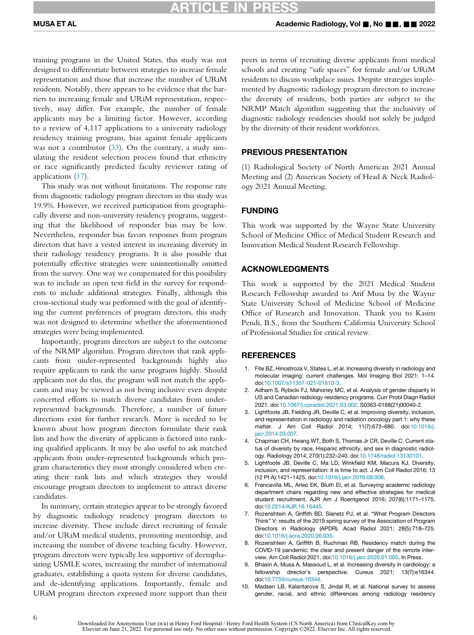training programs in the United States, this study was not designed to differentiate between strategies to increase female representation and those that increase the number of URiM residents. Notably, there appears to be evidence that the barriers to increasing female and URiM representation, respectively, may differ. For example, the number of female applicants may be a limiting factor. However, according to a review of 4,117 applications to a university radiology residency training program, bias against female applicants was not a contributor ([33](#page-8-21)). On the contrary, a study simulating the resident selection process found that ethnicity or race significantly predicted faculty reviewer rating of applications [\(17](#page-8-6)).

This study was not without limitations. The response rate from diagnostic radiology program directors in this study was 19.9%. However, we received participation from geographically diverse and non-university residency programs, suggesting that the likelihood of responder bias may be low. Nevertheless, responder bias favors responses from program directors that have a vested interest in increasing diversity in their radiology residency programs. It is also possible that potentially effective strategies were unintentionally omitted from the survey. One way we compensated for this possibility was to include an open text field in the survey for respondents to include additional strategies. Finally, although this cross-sectional study was performed with the goal of identifying the current preferences of program directors, this study was not designed to determine whether the aforementioned strategies were being implemented.

<span id="page-7-2"></span><span id="page-7-1"></span><span id="page-7-0"></span>Importantly, program directors are subject to the outcome of the NRMP algorithm. Program directors that rank applicants from under-represented backgrounds highly also require applicants to rank the same programs highly. Should applicants not do this, the program will not match the applicants and may be viewed as not being inclusive even despite concerted efforts to match diverse candidates from underrepresented backgrounds. Therefore, a number of future directions exist for further research. More is needed to be known about how program directors formulate their rank lists and how the diversity of applicants is factored into ranking qualified applicants. It may be also useful to ask matched applicants from under-represented backgrounds which program characteristics they most strongly considered when creating their rank lists and which strategies they would encourage program directors to implement to attract diverse candidates.

<span id="page-7-9"></span><span id="page-7-8"></span><span id="page-7-7"></span><span id="page-7-6"></span><span id="page-7-5"></span><span id="page-7-4"></span><span id="page-7-3"></span>In summary, certain strategies appear to be strongly favored by diagnostic radiology residency program directors to increase diversity. These include direct recruiting of female and/or URiM medical students, promoting mentorship, and increasing the number of diverse teaching faculty. However, program directors were typically less supportive of deemphasizing USMLE scores, increasing the number of international graduates, establishing a quota system for diverse candidates, and de-identifying applications. Importantly, female and URiM program directors expressed more support than their peers in terms of recruiting diverse applicants from medical schools and creating "safe spaces" for female and/or URiM residents to discuss workplace issues. Despite strategies implemented by diagnostic radiology program directors to increase the diversity of residents, both parties are subject to the NRMP Match algorithm suggesting that the inclusivity of diagnostic radiology residencies should not solely be judged by the diversity of their resident workforces.

#### PREVIOUS PRESENTATION

(1) Radiological Society of North American 2021 Annual Meeting and (2) American Society of Head & Neck Radiology 2021 Annual Meeting.

#### FUNDING

This work was supported by the Wayne State University School of Medicine Office of Medical Student Research and Innovation Medical Student Research Fellowship.

#### ACKNOWLEDGMENTS

This work is supported by the 2021 Medical Student Research Fellowship awarded to Arif Musa by the Wayne State University School of Medicine School of Medicine Office of Research and Innovation. Thank you to Kasim Pendi, B.S., from the Southern California University School of Professional Studies for critical review.

#### REFERENCES

- 1. Fite BZ, Hinostroza V, States L, et al. Increasing diversity in radiology and molecular imaging: current challenges. Mol Imaging Biol 2021: 1–14. doi[:10.1007/s11307-021-01610-3.](https://doi.org/10.1007/s11307-021-01610-3)
- 2. Adham S, Rybicki FJ, Mahoney MC, et al. Analysis of gender disparity in US and Canadian radiology residency programs. Curr Probl Diagn Radiol 2021. doi[:10.1067/j.cpradiol.2021.03.002.](https://doi.org/10.1067/j.cpradiol.2021.03.002) S0363-0188(21)00040-2.
- 3. Lightfoote JB, Fielding JR, Deville C, et al. Improving diversity, inclusion, and representation in radiology and radiation oncology part 1: why these matter. J Am Coll Radiol 2014; 11(7):673–680. doi:[10.1016/j.](https://doi.org/10.1016/j.jacr.2014.03.007) [jacr.2014.03.007](https://doi.org/10.1016/j.jacr.2014.03.007).
- 4. Chapman CH, Hwang WT, Both S, Thomas Jr CR, Deville C. Current status of diversity by race, Hispanic ethnicity, and sex in diagnostic radiology. Radiology 2014; 270(1):232–240. doi:[10.1148/radiol.13130101.](https://doi.org/10.1148/radiol.13130101)
- 5. Lightfoote JB, Deville C, Ma LD, Winkfield KM, Macura KJ. Diversity, inclusion, and representation: it is time to act. J Am Coll Radiol 2016; 13 (12 Pt A):1421–1425. doi:[10.1016/j.jacr.2016.08.008.](https://doi.org/10.1016/j.jacr.2016.08.008)
- 6. Francavilla ML, Arleo EK, Bluth EI, et al. Surveying academic radiology department chairs regarding new and effective strategies for medical student recruitment. AJR Am J Roentgenol 2016; 207(6):1171–1175. doi[:10.2214/AJR.16.16445.](https://doi.org/10.2214/AJR.16.16445)
- 7. Rozenshtein A, Griffith BD, Slanetz PJ, et al. "What Program Directors Think" V: results of the 2019 spring survey of the Association of Program Directors in Radiology (APDR). Acad Radiol 2021; 28(5):718–725. doi[:10.1016/j.acra.2020.06.035.](https://doi.org/10.1016/j.acra.2020.06.035)
- 8. Rozenshtein A, Griffith B, Ruchman RB. Residency match during the COVID-19 pandemic: the clear and present danger of the remote interview. Am Coll Radiol 2021. doi:[10.1016/j.jacr.2020.01.005.](https://doi.org/10.1016/j.jacr.2020.01.005) In Press.
- 9. Bhasin A, Musa A, Massoud L, et al. Increasing diversity in cardiology: a fellowship director's perspective. Cureus 2021; 13(7):e16344. doi[:10.7759/cureus.16344](https://doi.org/10.7759/cureus.16344).
- 10. Madsen LB, Kalantarova S, Jindal R, et al. National survey to assess gender, racial, and ethnic differences among radiology residency